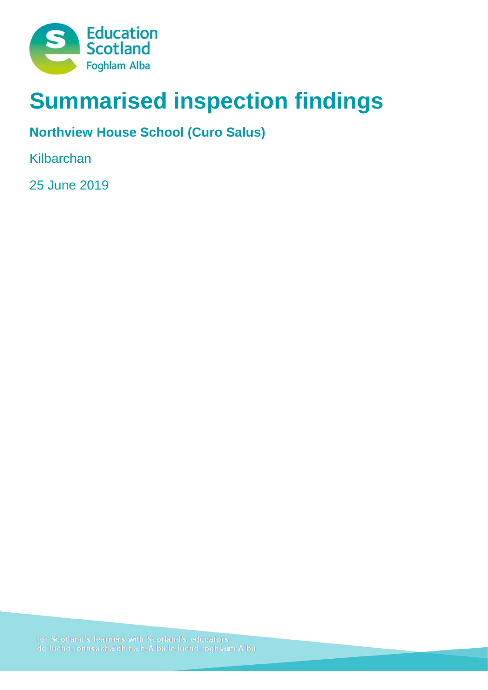

# **Summarised inspection findings**

## **Northview House School (Curo Salus)**

Kilbarchan

25 June 2019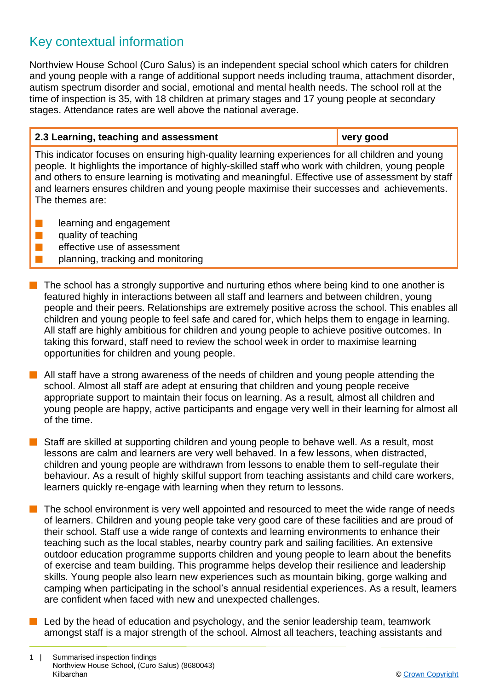### Key contextual information

Northview House School (Curo Salus) is an independent special school which caters for children and young people with a range of additional support needs including trauma, attachment disorder, autism spectrum disorder and social, emotional and mental health needs. The school roll at the time of inspection is 35, with 18 children at primary stages and 17 young people at secondary stages. Attendance rates are well above the national average.

# **2.3 Learning, teaching and assessment very good**

This indicator focuses on ensuring high-quality learning experiences for all children and young people. It highlights the importance of highly-skilled staff who work with children, young people and others to ensure learning is motivating and meaningful. Effective use of assessment by staff and learners ensures children and young people maximise their successes and achievements. The themes are:

- **n** learning and engagement
- $\blacksquare$  quality of teaching
- $\blacksquare$  effective use of assessment
- planning, tracking and monitoring
- $\blacksquare$  The school has a strongly supportive and nurturing ethos where being kind to one another is featured highly in interactions between all staff and learners and between children, young people and their peers. Relationships are extremely positive across the school. This enables all children and young people to feel safe and cared for, which helps them to engage in learning. All staff are highly ambitious for children and young people to achieve positive outcomes. In taking this forward, staff need to review the school week in order to maximise learning opportunities for children and young people.
- $\blacksquare$  All staff have a strong awareness of the needs of children and young people attending the school. Almost all staff are adept at ensuring that children and young people receive appropriate support to maintain their focus on learning. As a result, almost all children and young people are happy, active participants and engage very well in their learning for almost all of the time.
- $\blacksquare$  Staff are skilled at supporting children and young people to behave well. As a result, most lessons are calm and learners are very well behaved. In a few lessons, when distracted, children and young people are withdrawn from lessons to enable them to self-regulate their behaviour. As a result of highly skilful support from teaching assistants and child care workers, learners quickly re-engage with learning when they return to lessons.
- The school environment is very well appointed and resourced to meet the wide range of needs of learners. Children and young people take very good care of these facilities and are proud of their school. Staff use a wide range of contexts and learning environments to enhance their teaching such as the local stables, nearby country park and sailing facilities. An extensive outdoor education programme supports children and young people to learn about the benefits of exercise and team building. This programme helps develop their resilience and leadership skills. Young people also learn new experiences such as mountain biking, gorge walking and camping when participating in the school's annual residential experiences. As a result, learners are confident when faced with new and unexpected challenges.
- Led by the head of education and psychology, and the senior leadership team, teamwork amongst staff is a major strength of the school. Almost all teachers, teaching assistants and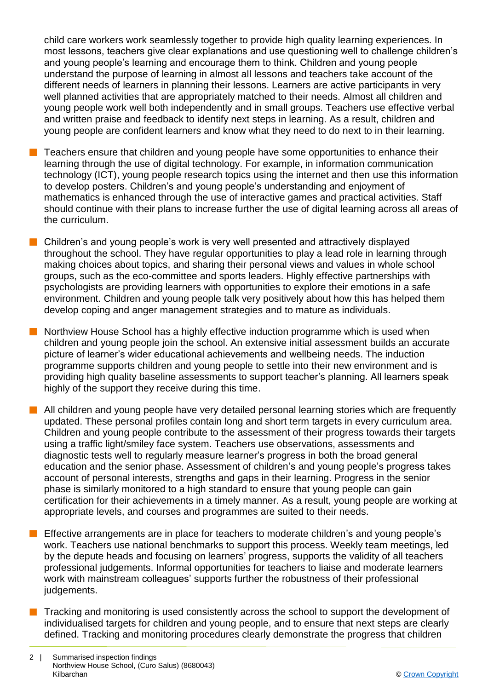child care workers work seamlessly together to provide high quality learning experiences. In most lessons, teachers give clear explanations and use questioning well to challenge children's and young people's learning and encourage them to think. Children and young people understand the purpose of learning in almost all lessons and teachers take account of the different needs of learners in planning their lessons. Learners are active participants in very well planned activities that are appropriately matched to their needs. Almost all children and young people work well both independently and in small groups. Teachers use effective verbal and written praise and feedback to identify next steps in learning. As a result, children and young people are confident learners and know what they need to do next to in their learning.

- n Teachers ensure that children and young people have some opportunities to enhance their learning through the use of digital technology. For example, in information communication technology (ICT), young people research topics using the internet and then use this information to develop posters. Children's and young people's understanding and enjoyment of mathematics is enhanced through the use of interactive games and practical activities. Staff should continue with their plans to increase further the use of digital learning across all areas of the curriculum.
- n Children's and young people's work is very well presented and attractively displayed throughout the school. They have regular opportunities to play a lead role in learning through making choices about topics, and sharing their personal views and values in whole school groups, such as the eco-committee and sports leaders. Highly effective partnerships with psychologists are providing learners with opportunities to explore their emotions in a safe environment. Children and young people talk very positively about how this has helped them develop coping and anger management strategies and to mature as individuals.

n Northview House School has a highly effective induction programme which is used when children and young people join the school. An extensive initial assessment builds an accurate picture of learner's wider educational achievements and wellbeing needs. The induction programme supports children and young people to settle into their new environment and is providing high quality baseline assessments to support teacher's planning. All learners speak highly of the support they receive during this time.

- $\blacksquare$  All children and young people have very detailed personal learning stories which are frequently updated. These personal profiles contain long and short term targets in every curriculum area. Children and young people contribute to the assessment of their progress towards their targets using a traffic light/smiley face system. Teachers use observations, assessments and diagnostic tests well to regularly measure learner's progress in both the broad general education and the senior phase. Assessment of children's and young people's progress takes account of personal interests, strengths and gaps in their learning. Progress in the senior phase is similarly monitored to a high standard to ensure that young people can gain certification for their achievements in a timely manner. As a result, young people are working at appropriate levels, and courses and programmes are suited to their needs.
- Effective arrangements are in place for teachers to moderate children's and young people's work. Teachers use national benchmarks to support this process. Weekly team meetings, led by the depute heads and focusing on learners' progress, supports the validity of all teachers professional judgements. Informal opportunities for teachers to liaise and moderate learners work with mainstream colleagues' supports further the robustness of their professional judgements.
- **n** Tracking and monitoring is used consistently across the school to support the development of individualised targets for children and young people, and to ensure that next steps are clearly defined. Tracking and monitoring procedures clearly demonstrate the progress that children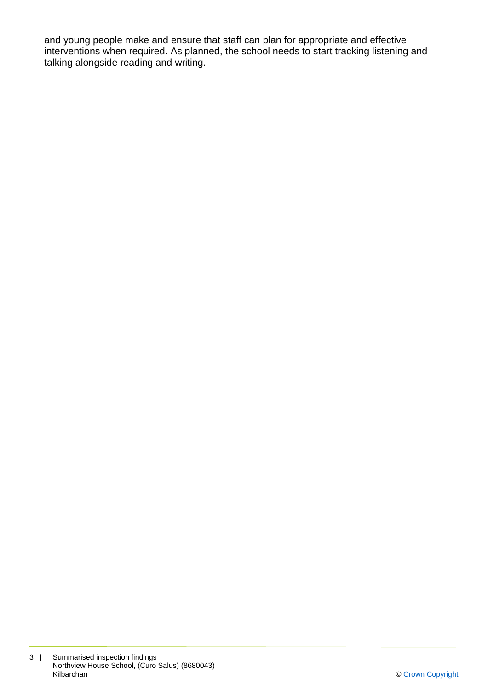and young people make and ensure that staff can plan for appropriate and effective interventions when required. As planned, the school needs to start tracking listening and talking alongside reading and writing.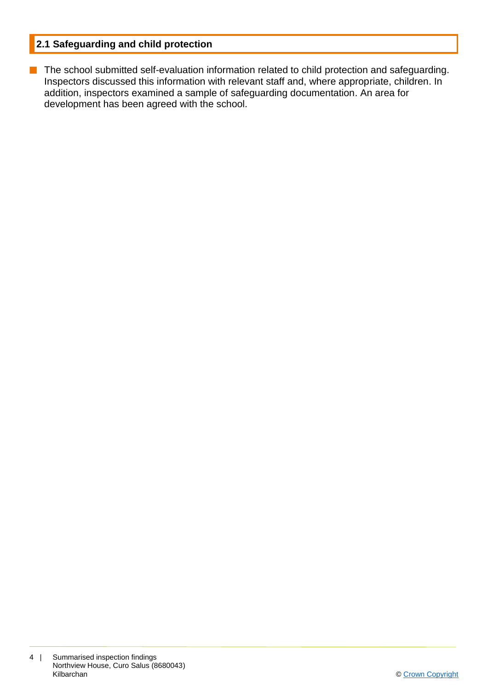#### **2.1 Safeguarding and child protection**

**n** The school submitted self-evaluation information related to child protection and safeguarding. Inspectors discussed this information with relevant staff and, where appropriate, children. In addition, inspectors examined a sample of safeguarding documentation. An area for development has been agreed with the school.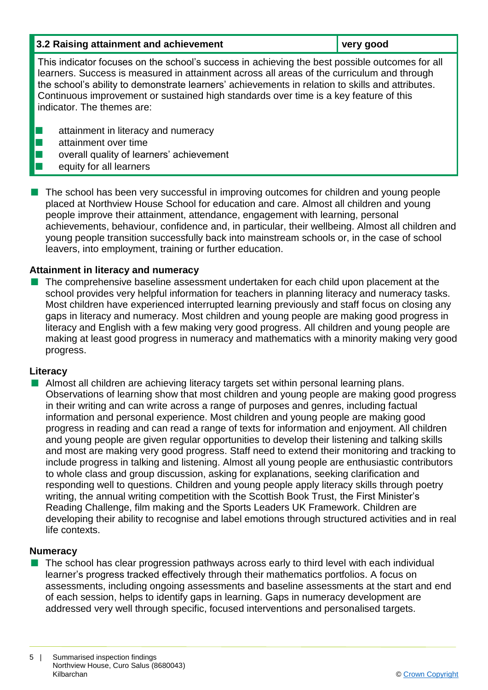| 3.2 Raising attainment and achievement                                                                                                                                                                                                                                                                                                                                                                                  | very good |
|-------------------------------------------------------------------------------------------------------------------------------------------------------------------------------------------------------------------------------------------------------------------------------------------------------------------------------------------------------------------------------------------------------------------------|-----------|
| This indicator focuses on the school's success in achieving the best possible outcomes for all<br>learners. Success is measured in attainment across all areas of the curriculum and through<br>the school's ability to demonstrate learners' achievements in relation to skills and attributes.<br>Continuous improvement or sustained high standards over time is a key feature of this<br>indicator. The themes are: |           |
| attainment in literacy and numeracy<br>attainment over time<br>overall quality of learners' achievement<br>equity for all learners                                                                                                                                                                                                                                                                                      |           |

The school has been very successful in improving outcomes for children and young people placed at Northview House School for education and care. Almost all children and young people improve their attainment, attendance, engagement with learning, personal achievements, behaviour, confidence and, in particular, their wellbeing. Almost all children and young people transition successfully back into mainstream schools or, in the case of school leavers, into employment, training or further education.

#### **Attainment in literacy and numeracy**

 $\blacksquare$  The comprehensive baseline assessment undertaken for each child upon placement at the school provides very helpful information for teachers in planning literacy and numeracy tasks. Most children have experienced interrupted learning previously and staff focus on closing any gaps in literacy and numeracy. Most children and young people are making good progress in literacy and English with a few making very good progress. All children and young people are making at least good progress in numeracy and mathematics with a minority making very good progress.

#### **Literacy**

■ Almost all children are achieving literacy targets set within personal learning plans. Observations of learning show that most children and young people are making good progress in their writing and can write across a range of purposes and genres, including factual information and personal experience. Most children and young people are making good progress in reading and can read a range of texts for information and enjoyment. All children and young people are given regular opportunities to develop their listening and talking skills and most are making very good progress. Staff need to extend their monitoring and tracking to include progress in talking and listening. Almost all young people are enthusiastic contributors to whole class and group discussion, asking for explanations, seeking clarification and responding well to questions. Children and young people apply literacy skills through poetry writing, the annual writing competition with the Scottish Book Trust, the First Minister's Reading Challenge, film making and the Sports Leaders UK Framework. Children are developing their ability to recognise and label emotions through structured activities and in real life contexts.

#### **Numeracy**

The school has clear progression pathways across early to third level with each individual learner's progress tracked effectively through their mathematics portfolios. A focus on assessments, including ongoing assessments and baseline assessments at the start and end of each session, helps to identify gaps in learning. Gaps in numeracy development are addressed very well through specific, focused interventions and personalised targets.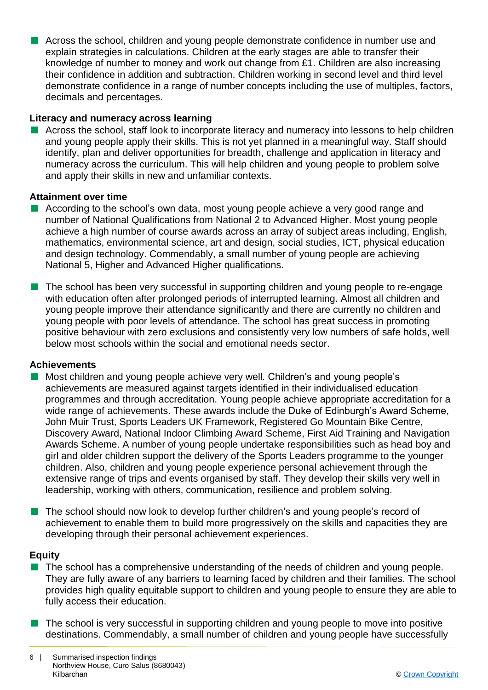■ Across the school, children and young people demonstrate confidence in number use and explain strategies in calculations. Children at the early stages are able to transfer their knowledge of number to money and work out change from £1. Children are also increasing their confidence in addition and subtraction. Children working in second level and third level demonstrate confidence in a range of number concepts including the use of multiples, factors, decimals and percentages.

#### **Literacy and numeracy across learning**

 $\blacksquare$  Across the school, staff look to incorporate literacy and numeracy into lessons to help children and young people apply their skills. This is not yet planned in a meaningful way. Staff should identify, plan and deliver opportunities for breadth, challenge and application in literacy and numeracy across the curriculum. This will help children and young people to problem solve and apply their skills in new and unfamiliar contexts.

#### **Attainment over time**

- $\blacksquare$  According to the school's own data, most young people achieve a very good range and number of National Qualifications from National 2 to Advanced Higher. Most young people achieve a high number of course awards across an array of subject areas including, English, mathematics, environmental science, art and design, social studies, ICT, physical education and design technology. Commendably, a small number of young people are achieving National 5, Higher and Advanced Higher qualifications.
- **n** The school has been very successful in supporting children and young people to re-engage with education often after prolonged periods of interrupted learning. Almost all children and young people improve their attendance significantly and there are currently no children and young people with poor levels of attendance. The school has great success in promoting positive behaviour with zero exclusions and consistently very low numbers of safe holds, well below most schools within the social and emotional needs sector.

#### **Achievements**

- Most children and young people achieve very well. Children's and young people's achievements are measured against targets identified in their individualised education programmes and through accreditation. Young people achieve appropriate accreditation for a wide range of achievements. These awards include the Duke of Edinburgh's Award Scheme, John Muir Trust, Sports Leaders UK Framework, Registered Go Mountain Bike Centre, Discovery Award, National Indoor Climbing Award Scheme, First Aid Training and Navigation Awards Scheme. A number of young people undertake responsibilities such as head boy and girl and older children support the delivery of the Sports Leaders programme to the younger children. Also, children and young people experience personal achievement through the extensive range of trips and events organised by staff. They develop their skills very well in leadership, working with others, communication, resilience and problem solving.
- n The school should now look to develop further children's and young people's record of achievement to enable them to build more progressively on the skills and capacities they are developing through their personal achievement experiences.

#### **Equity**

- $\blacksquare$  The school has a comprehensive understanding of the needs of children and young people. They are fully aware of any barriers to learning faced by children and their families. The school provides high quality equitable support to children and young people to ensure they are able to fully access their education.
- $\blacksquare$  The school is very successful in supporting children and young people to move into positive destinations. Commendably, a small number of children and young people have successfully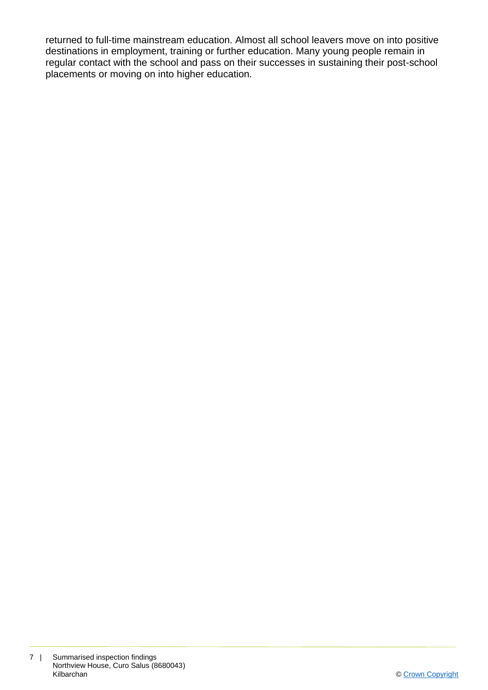returned to full-time mainstream education. Almost all school leavers move on into positive destinations in employment, training or further education. Many young people remain in regular contact with the school and pass on their successes in sustaining their post-school placements or moving on into higher education.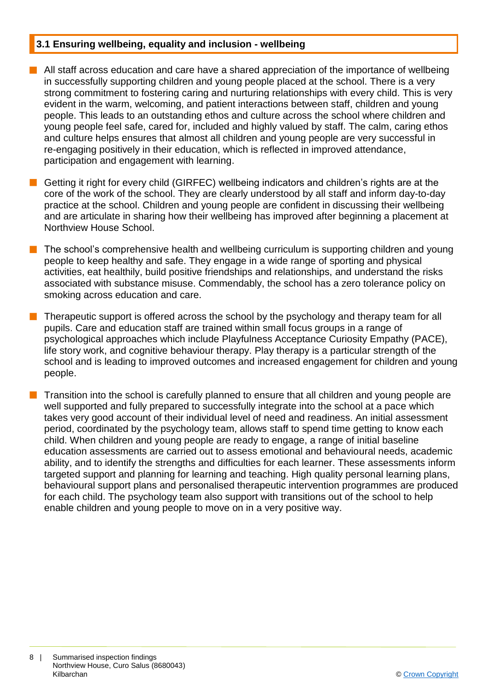#### **3.1 Ensuring wellbeing, equality and inclusion - wellbeing**

- $\blacksquare$  All staff across education and care have a shared appreciation of the importance of wellbeing in successfully supporting children and young people placed at the school. There is a very strong commitment to fostering caring and nurturing relationships with every child. This is very evident in the warm, welcoming, and patient interactions between staff, children and young people. This leads to an outstanding ethos and culture across the school where children and young people feel safe, cared for, included and highly valued by staff. The calm, caring ethos and culture helps ensures that almost all children and young people are very successful in re-engaging positively in their education, which is reflected in improved attendance, participation and engagement with learning.
- **n** Getting it right for every child (GIRFEC) wellbeing indicators and children's rights are at the core of the work of the school. They are clearly understood by all staff and inform day-to-day practice at the school. Children and young people are confident in discussing their wellbeing and are articulate in sharing how their wellbeing has improved after beginning a placement at Northview House School.
- The school's comprehensive health and wellbeing curriculum is supporting children and young people to keep healthy and safe. They engage in a wide range of sporting and physical activities, eat healthily, build positive friendships and relationships, and understand the risks associated with substance misuse. Commendably, the school has a zero tolerance policy on smoking across education and care.
- n Therapeutic support is offered across the school by the psychology and therapy team for all pupils. Care and education staff are trained within small focus groups in a range of psychological approaches which include Playfulness Acceptance Curiosity Empathy (PACE), life story work, and cognitive behaviour therapy. Play therapy is a particular strength of the school and is leading to improved outcomes and increased engagement for children and young people.
- n Transition into the school is carefully planned to ensure that all children and young people are well supported and fully prepared to successfully integrate into the school at a pace which takes very good account of their individual level of need and readiness. An initial assessment period, coordinated by the psychology team, allows staff to spend time getting to know each child. When children and young people are ready to engage, a range of initial baseline education assessments are carried out to assess emotional and behavioural needs, academic ability, and to identify the strengths and difficulties for each learner. These assessments inform targeted support and planning for learning and teaching. High quality personal learning plans, behavioural support plans and personalised therapeutic intervention programmes are produced for each child. The psychology team also support with transitions out of the school to help enable children and young people to move on in a very positive way.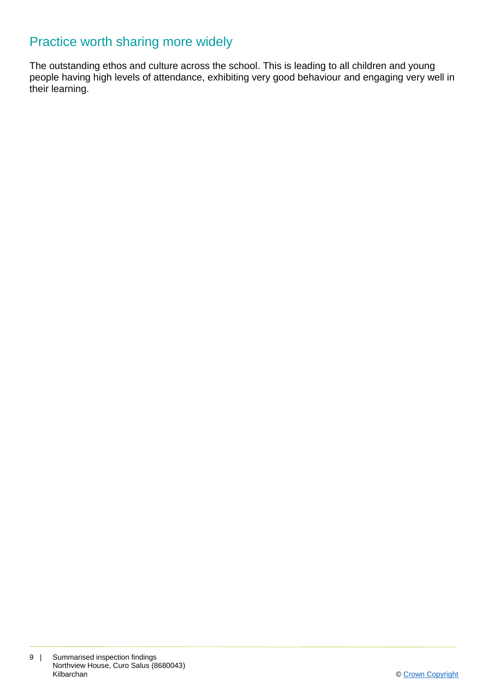### Practice worth sharing more widely

The outstanding ethos and culture across the school. This is leading to all children and young people having high levels of attendance, exhibiting very good behaviour and engaging very well in their learning.